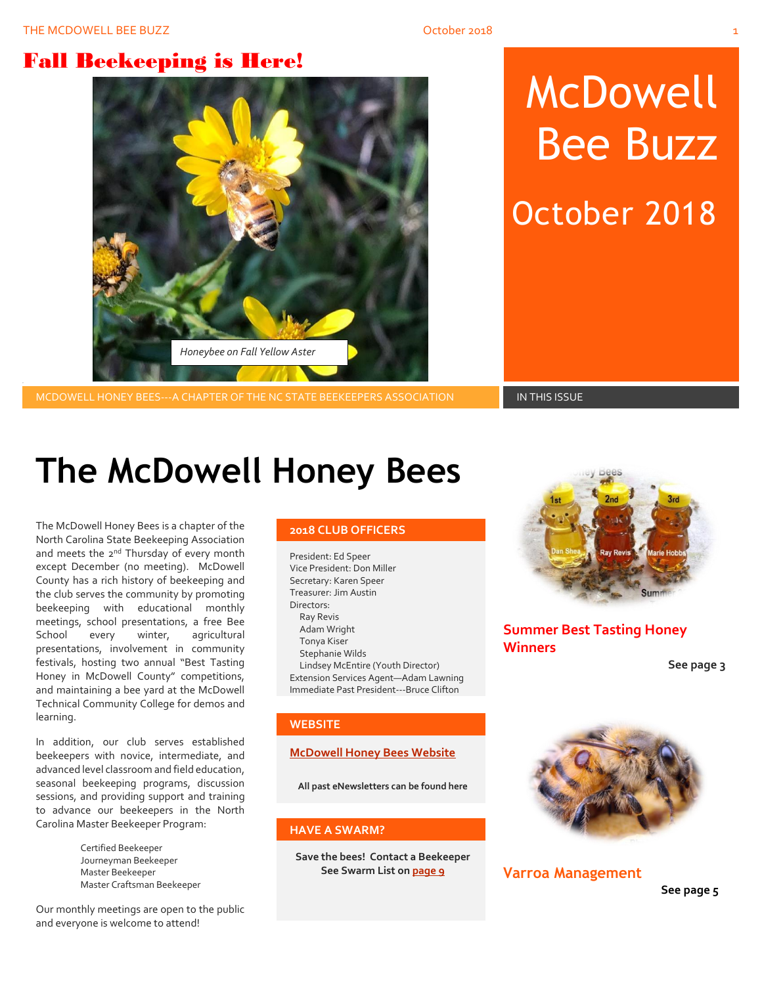## Fall Beekeeping is Here!



# McDowell Bee Buzz

October 2018

MCDOWELL HONEY BEES---A CHAPTER OF THE NC STATE BEEKEEPERS ASSOCIATION **IN THIS ISSUE** 

## **The McDowell Honey Bees**

The McDowell Honey Bees is a chapter of the North Carolina State Beekeeping Association and meets the 2<sup>nd</sup> Thursday of every month except December (no meeting). McDowell County has a rich history of beekeeping and the club serves the community by promoting beekeeping with educational monthly meetings, school presentations, a free Bee School every winter, agricultural presentations, involvement in community festivals, hosting two annual "Best Tasting Honey in McDowell County" competitions, and maintaining a bee yard at the McDowell Technical Community College for demos and learning.

In addition, our club serves established beekeepers with novice, intermediate, and advanced level classroom and field education, seasonal beekeeping programs, discussion sessions, and providing support and training to advance our beekeepers in the North Carolina Master Beekeeper Program:

> Certified Beekeeper Journeyman Beekeeper Master Beekeeper Master Craftsman Beekeeper

Our monthly meetings are open to the public and everyone is welcome to attend!

#### **2018 CLUB OFFICERS**

President: Ed Speer Vice President: Don Miller Secretary: Karen Speer Treasurer: Jim Austin Directors: Ray Revis Adam Wright Tonya Kiser Stephanie Wilds Lindsey McEntire (Youth Director) Extension Services Agent—Adam Lawning Immediate Past President---Bruce Clifton

#### **WEBSITE**

#### **[McDowell Honey Bees Website](http://www.mcdowellhoneybees.org/)**

**All past eNewsletters can be found here**

#### **HAVE A SWARM?**

**Save the bees! Contact a Beekeeper See Swarm List o[n page 9](#page-8-0)**



**Summer Best Tasting Honey Winners**

**See page 3**



**Varroa Management**

**See page 5**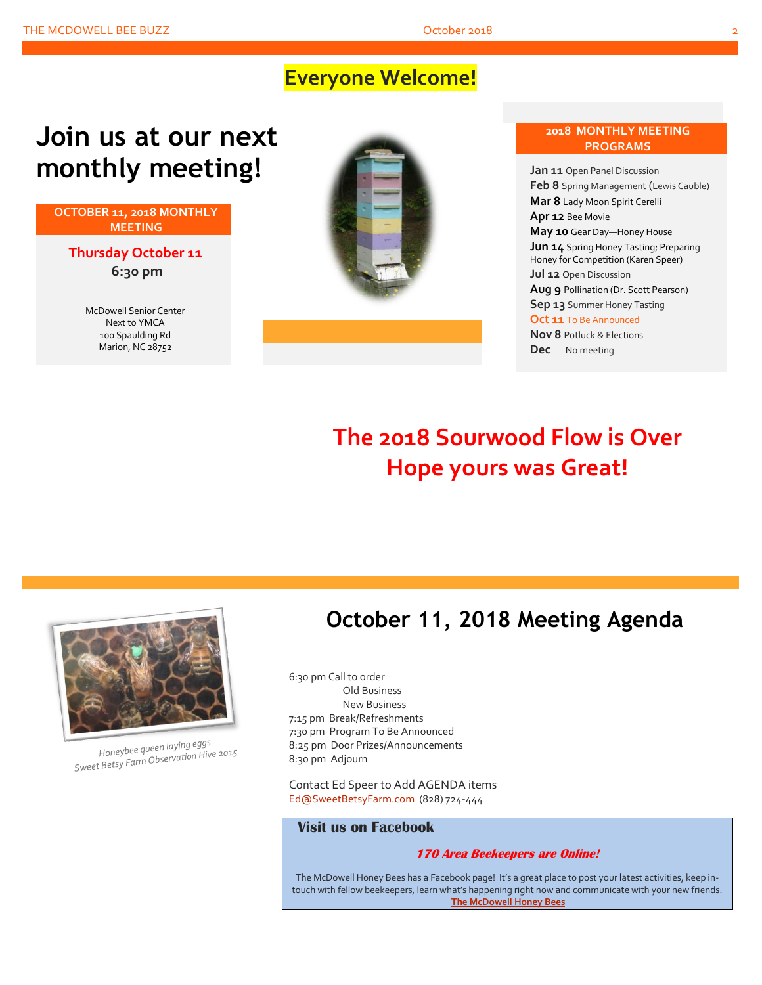## **Everyone Welcome!**

## **Join us at our next monthly meeting!**

**OCTOBER 11, 2018 MONTHLY MEETING**

**Thursday October 11 6:30 pm**

> McDowell Senior Center Next to YMCA 100 Spaulding Rd Marion, NC 28752





**May 10** Gear Day—Honey House **Jun 14** Spring Honey Tasting; Preparing Honey for Competition (Karen Speer) **Jul 12** Open Discussion

**2018 MONTHLY MEETING PROGRAMS**

**Aug 9** Pollination (Dr. Scott Pearson) **Sep 13** Summer Honey Tasting

**Oct 11** To Be Announced

**Nov 8** Potluck & Elections **Dec** No meeting

## **The 2018 Sourwood Flow is Over Hope yours was Great!**



Honeybee queen laying eggs Honeybee queen laying eggs<br>Sweet Betsy Farm Observation Hive 2015

## **October 11, 2018 Meeting Agenda**

6:30 pm Call to order Old Business New Business 7:15 pm Break/Refreshments 7:30 pm Program To Be Announced 8:25 pm Door Prizes/Announcements 8:30 pm Adjourn

Contact Ed Speer to Add AGENDA items [Ed@SweetBetsyFarm.com](mailto:Ed@SweetBetsyFarm.com) (828) 724-444

#### **Visit us on Facebook**

#### **170 Area Beekeepers are Online!**

The McDowell Honey Bees has a Facebook page! It's a great place to post your latest activities, keep intouch with fellow beekeepers, learn what's happening right now and communicate with your new friends. **[The McDowell Honey Bees](https://www.facebook.com/groups/MHBee/)**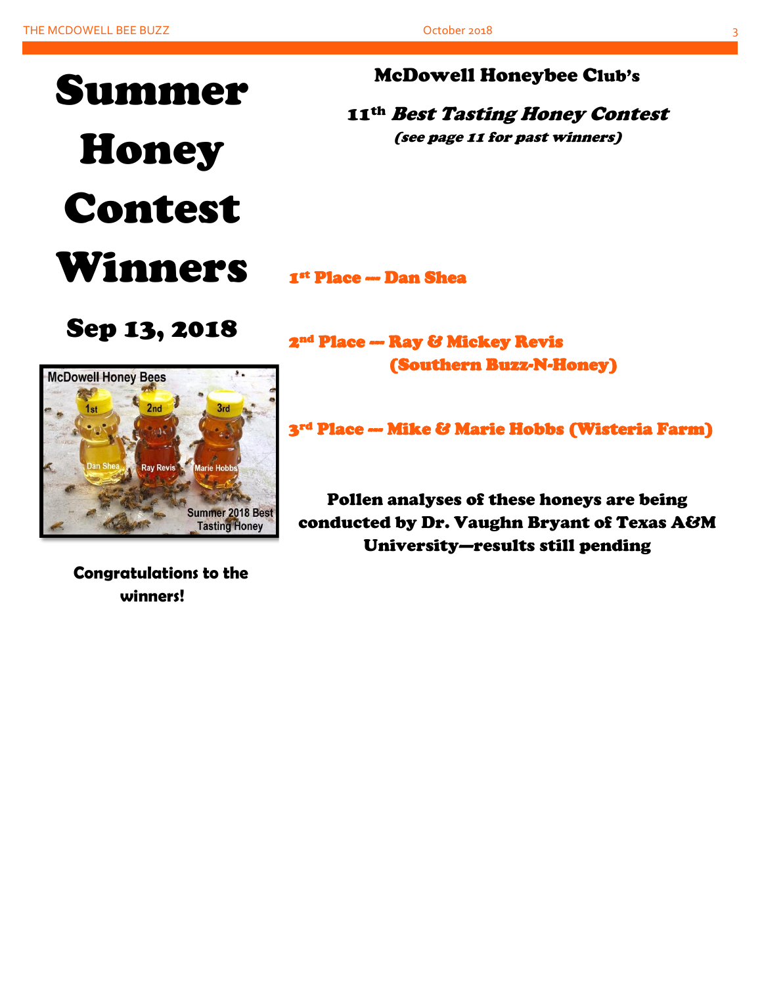

### McDowell Honeybee Club's

11<sup>th</sup> Best Tasting Honey Contest (see page 11 for past winners)

1st Place --- Dan Shea

## Sep 13, 2018



 **Congratulations to the winners!**

2nd Place --- Ray & Mickey Revis (Southern Buzz-N-Honey)

3rd Place --- Mike & Marie Hobbs (Wisteria Farm)

Pollen analyses of these honeys are being conducted by Dr. Vaughn Bryant of Texas A&M University—results still pending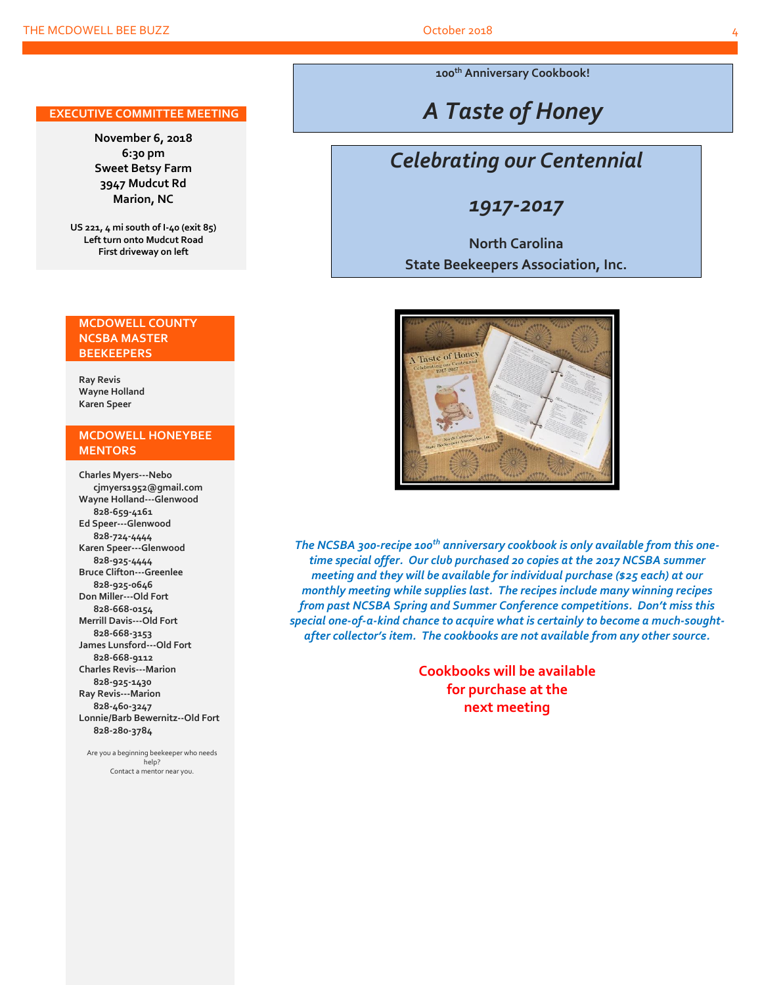#### **EXECUTIVE COMMITTEE MEETING**

**November 6, 2018 6:30 pm Sweet Betsy Farm 3947 Mudcut Rd Marion, NC**

**US 221, 4 mi south of I-40 (exit 85) Left turn onto Mudcut Road First driveway on left**

#### **MCDOWELL COUNTY NCSBA MASTER BEEKEEPERS**

**Ray Revis Wayne Holland Karen Speer**

#### **MCDOWELL HONEYBEE MENTORS**

**Charles Myers---Nebo cjmyers1952@gmail.com Wayne Holland---Glenwood 828-659-4161 Ed Speer---Glenwood 828-724-4444 Karen Speer---Glenwood 828-925-4444 Bruce Clifton---Greenlee 828-925-0646 Don Miller---Old Fort 828-668-0154 Merrill Davis---Old Fort 828-668-3153 James Lunsford---Old Fort 828-668-9112 Charles Revis---Marion 828-925-1430 Ray Revis---Marion 828-460-3247 Lonnie/Barb Bewernitz--Old Fort 828-280-3784**

Are you a beginning beekeeper who needs help? Contact a mentor near you.

**100th Anniversary Cookbook!**

## *A Taste of Honey*

## *Celebrating our Centennial*

### *1917-2017*

### **North Carolina State Beekeepers Association, Inc.**



*The NCSBA 300-recipe 100th anniversary cookbook is only available from this onetime special offer. Our club purchased 20 copies at the 2017 NCSBA summer meeting and they will be available for individual purchase (\$25 each) at our monthly meeting while supplies last. The recipes include many winning recipes from past NCSBA Spring and Summer Conference competitions. Don't miss this special one-of-a-kind chance to acquire what is certainly to become a much-soughtafter collector's item. The cookbooks are not available from any other source.*

> **Cookbooks will be available for purchase at the next meeting**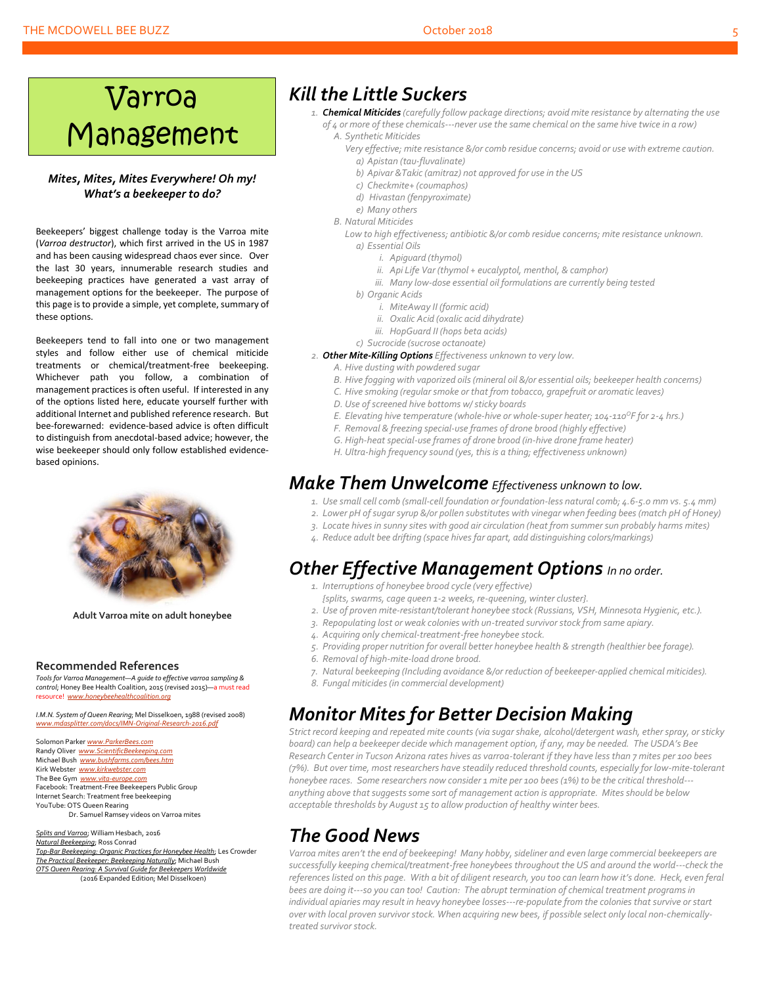#### THE MCDOWELL BEE BUZZ **October 2018** 5 October 2018

## Varroa Management

#### *Mites, Mites, Mites Everywhere! Oh my! What's a beekeeper to do?*

Beekeepers' biggest challenge today is the Varroa mite (*Varroa destructor*), which first arrived in the US in 1987 and has been causing widespread chaos ever since. Over the last 30 years, innumerable research studies and beekeeping practices have generated a vast array of management options for the beekeeper. The purpose of this page is to provide a simple, yet complete, summary of these options.

Beekeepers tend to fall into one or two management styles and follow either use of chemical miticide treatments or chemical/treatment-free beekeeping. Whichever path you follow, a combination of management practices is often useful. If interested in any of the options listed here, educate yourself further with additional Internet and published reference research. But bee-forewarned: evidence-based advice is often difficult to distinguish from anecdotal-based advice; however, the wise beekeeper should only follow established evidencebased opinions.



**Adult Varroa mite on adult honeybee**

#### **Recommended References**

*Tools for Varroa Management—A guide to effective varroa sampling & control*; Honey Bee Health Coalition, 2015 (revised 2015)—a must read resource! *[www.honeybeehealthcoalition.org](http://www.honeybeehealthcoalition.org/)*

*I.M.N. System of Queen Rearing*; Mel Disselkoen, 1988 (revised 2008) *[www.mdasplitter.com/docs/IMN-Original-Research-2016.pdf](http://www.mdasplitter.com/docs/IMN-Original-Research-2016.pdf)*

Solomon Parker *[www.ParkerBees.com](http://www.parkerbees.com/)* Randy Oliver *www.ScientificBeekeeping.* Michael Bush *[www.bushfarms.com/bees.htm](http://www.bushfarms.com/bees.htm)* Kirk Webster *[www.kirkwebster.com](http://www.kirkwebster.com/)* The Bee Gym *[www.vita-europe.com](http://www.vita-europe.com/)* Facebook: Treatment-Free Beekeepers Public Group Internet Search: Treatment free beekeeping YouTube: OTS Queen Rearing Dr. Samuel Ramsey videos on Varroa mites

*Splits and Varroa*; William Hesbach, 2016 *Natural Beekeeping*; Ross Conrad *Top-Bar Beekeeping: Organic Practices for Honeybee Health*; Les Crowder *The Practical Beekeeper: Beekeeping Naturally*; Michael Bush *OTS Queen Rearing: A Survival Guide for Beekeepers Worldwide* (2016 Expanded Edition; Mel Disselkoen)

### *Kill the Little Suckers*

- *1. Chemical Miticides (carefully follow package directions; avoid mite resistance by alternating the use of 4 or more of these chemicals---never use the same chemical on the same hive twice in a row) A. Synthetic Miticides*
	- *Very effective; mite resistance &/or comb residue concerns; avoid or use with extreme caution. a) Apistan (tau-fluvalinate)*
		- *b) Apivar &Takic (amitraz) not approved for use in the US*
		- *c) Checkmite+ (coumaphos)*
		- *d) Hivastan (fenpyroximate)*
	- *e) Many others*
	- *B. Natural Miticides*
		- Low to high effectiveness; antibiotic &/or comb residue concerns; mite resistance unknown. *a) Essential Oils*
			- *i. Apiguard (thymol)*
			- *ii. Api Life Var (thymol + eucalyptol, menthol, & camphor)*
			- *iii. Many low-dose essential oil formulations are currently being tested*
			- *b) Organic Acids*
				- *i. MiteAway II (formic acid)*
				- *ii. Oxalic Acid (oxalic acid dihydrate)*
				- *iii. HopGuard II (hops beta acids)*
			- *c) Sucrocide (sucrose octanoate)*
- *2. Other Mite-Killing Options Effectiveness unknown to very low.*
	- *A. Hive dusting with powdered sugar*
	- *B. Hive fogging with vaporized oils (mineral oil &/or essential oils; beekeeper health concerns)*
	- *C. Hive smoking (regular smoke or that from tobacco, grapefruit or aromatic leaves)*
	- *D. Use of screened hive bottoms w/ sticky boards*
	- *E. Elevating hive temperature (whole-hive or whole-super heater; 104-110<sup>O</sup>F for 2-4 hrs.)*
	- *F. Removal & freezing special-use frames of drone brood (highly effective)*
	- *G. High-heat special-use frames of drone brood (in-hive drone frame heater)*
	- *H. Ultra-high frequency sound (yes, this is a thing; effectiveness unknown)*

## *Make Them Unwelcome Effectiveness unknown to low.*

- *1. Use small cell comb (small-cell foundation or foundation-less natural comb; 4.6-5.0 mm vs. 5.4 mm)*
- *2. Lower pH of sugarsyrup &/or pollen substitutes with vinegar when feeding bees (match pH of Honey)*
- *3. Locate hives in sunny sites with good air circulation (heat from summer sun probably harms mites)*
- *4. Reduce adult bee drifting (space hivesfar apart, add distinguishing colors/markings)*

## *Other Effective Management Options In no order.*

- *1. Interruptions of honeybee brood cycle (very effective)*
- *{splits, swarms, cage queen 1-2 weeks, re-queening, winter cluster}.*
- *2. Use of proven mite-resistant/tolerant honeybee stock (Russians, VSH, Minnesota Hygienic, etc.).*
- *3. Repopulating lost or weak colonies with un-treated survivor stock from same apiary.*
- *4. Acquiring only chemical-treatment-free honeybee stock.*
- *5. Providing proper nutrition for overall better honeybee health & strength (healthier bee forage).*
- *6. Removal of high-mite-load drone brood.*
- *7. Natural beekeeping (Including avoidance &/or reduction of beekeeper-applied chemical miticides).*
- *8. Fungal miticides (in commercial development)*

## *Monitor Mites for Better Decision Making*

*Strict record keeping and repeated mite counts (via sugar shake, alcohol/detergent wash, ether spray, or sticky board) can help a beekeeper decide which management option, if any, may be needed. The USDA's Bee Research Center in Tucson Arizona rates hives as varroa-tolerant if they have less than 7 mites per 100 bees (7%). But over time, most researchers have steadily reduced threshold counts, especially for low-mite-tolerant honeybee races. Some researchers now consider 1 mite per 100 bees (1%) to be the critical threshold-- anything above that suggestssome sort of management action is appropriate. Mites should be below acceptable thresholds by August 15 to allow production of healthy winter bees.*

## *The Good News*

Varroa mites aren't the end of beekeeping! Many hobby, sideliner and even large commercial beekeepers are *successfully keeping chemical/treatment-free honeybees throughout the US and around the world---check the references listed on this page. With a bit of diligent research, you too can learn how it's done. Heck, even feral bees are doing it---so you can too! Caution: The abrupt termination of chemical treatment programs in individual apiaries may result in heavy honeybee losses---re-populate from the colonies that survive or start over with local proven survivor stock. When acquiring new bees, if possible select only local non-chemicallytreated survivor stock.*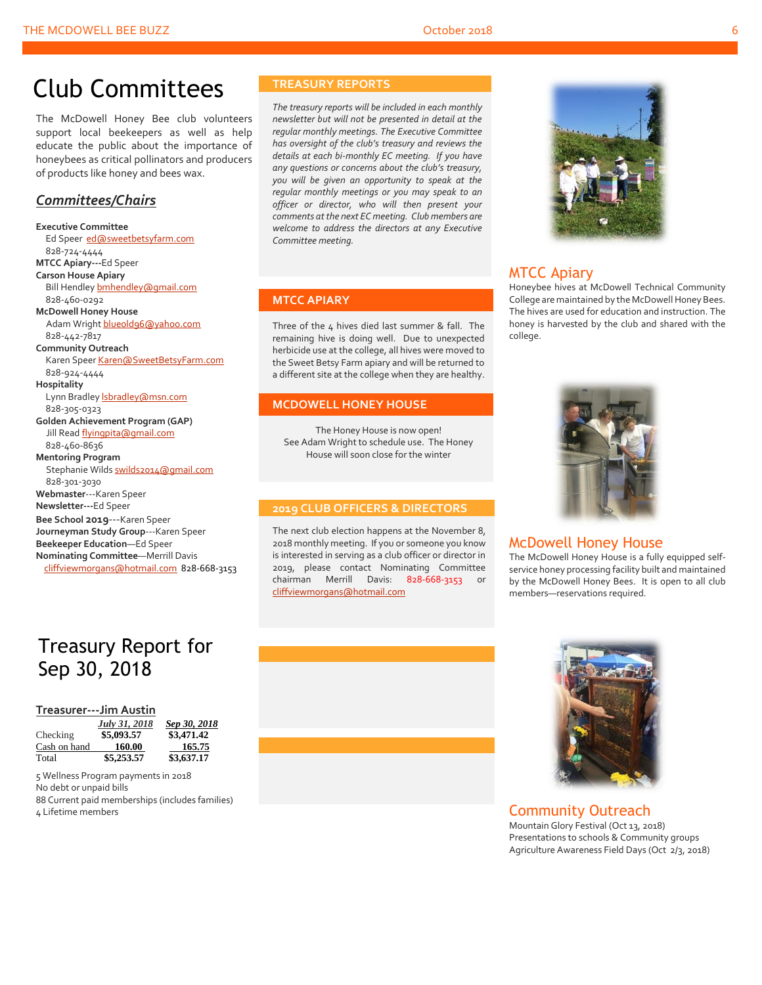## Club Committees

The McDowell Honey Bee club volunteers support local beekeepers as well as help educate the public about the importance of honeybees as critical pollinators and producers of products like honey and bees wax.

#### *Committees/Chairs*

**Executive Committee** Ed Speer [ed@sweetbetsyfarm.com](mailto:ed@sweetbetsyfarm.com) 828-724-4444 **MTCC Apiary---**Ed Speer **Carson House Apiary** Bill Hendle[y bmhendley@gmail.com](mailto:bmhendley@gmail.com) 828-460-0292 **McDowell Honey House** Adam Wright [blueold96@yahoo.com](mailto:blueold96@yahoo.com) 828-442-7817 **Community Outreach** Karen Spee[r Karen@SweetBetsyFarm.com](mailto:Karen@SweetBetsyFarm.com) 828-924-4444 **Hospitality** Lynn Bradley *sbradley@msn.com*  828-305-0323 **Golden Achievement Program (GAP)** Jill Read [flyingpita@gmail.com](mailto:flyingpita@gmail.com) 828-460-8636 **Mentoring Program** Stephanie Wild[s swilds2014@gmail.com](mailto:swilds2014@gmail.com) 828-301-3030 **Webmaster**---Karen Speer **Newsletter---**Ed Speer **Bee School 2019**---Karen Speer **Journeyman Study Group**---Karen Speer **Beekeeper Education**—Ed Speer **Nominating Committee**—Merrill Davis [cliffviewmorgans@hotmail.com](mailto:cliffviewmorgans@hotmail.com) 828-668-3153

## Treasury Report for Sep 30, 2018

#### **Treasurer---Jim Austin**

|              | July 31, 2018 | <u>S</u> |
|--------------|---------------|----------|
| Checking     | \$5,093.57    | \$       |
| Cash on hand | 160.00        |          |
| Total        | \$5,253.57    | \$       |

 *July 31, 2018 Sep 30, 2018* Checking **\$5,093.57 \$3,471.42** 165.75  $\overline{3,637.17}$ 

 Wellness Program payments in 2018 No debt or unpaid bills Current paid memberships (includes families) Lifetime members

#### **TREASURY REPORTS**

*The treasury reports will be included in each monthly newsletter but will not be presented in detail at the regular monthly meetings. The Executive Committee has oversight of the club's treasury and reviews the details at each bi-monthly EC meeting. If you have any questions or concerns about the club's treasury, you will be given an opportunity to speak at the regular monthly meetings or you may speak to an officer or director, who will then present your comments at the next EC meeting. Club members are welcome to address the directors at any Executive Committee meeting.*

#### **MTCC APIARY**

Three of the 4 hives died last summer & fall. The remaining hive is doing well. Due to unexpected herbicide use at the college, all hives were moved to the Sweet Betsy Farm apiary and will be returned to a different site at the college when they are healthy.

#### **MCDOWELL HONEY HOUSE**

The Honey House is now open! See Adam Wright to schedule use. The Honey House will soon close for the winter

#### **2019 CLUB OFFICERS & DIRECTORS**

The next club election happens at the November 8, 2018 monthly meeting. If you or someone you know is interested in serving as a club officer or director in 2019, please contact Nominating Committee chairman Merrill Davis: 828-668-3153 or [cliffviewmorgans@hotmail.com](mailto:cliffviewmorgans@hotmail.com)



#### MTCC Apiary

Honeybee hives at McDowell Technical Community College are maintained by the McDowell Honey Bees. The hives are used for education and instruction. The honey is harvested by the club and shared with the college.



#### McDowell Honey House

The McDowell Honey House is a fully equipped selfservice honey processing facility built and maintained by the McDowell Honey Bees. It is open to all club members—reservations required.





#### Community Outreach

Mountain Glory Festival (Oct 13, 2018) Presentations to schools & Community groups Agriculture Awareness Field Days (Oct 2/3, 2018)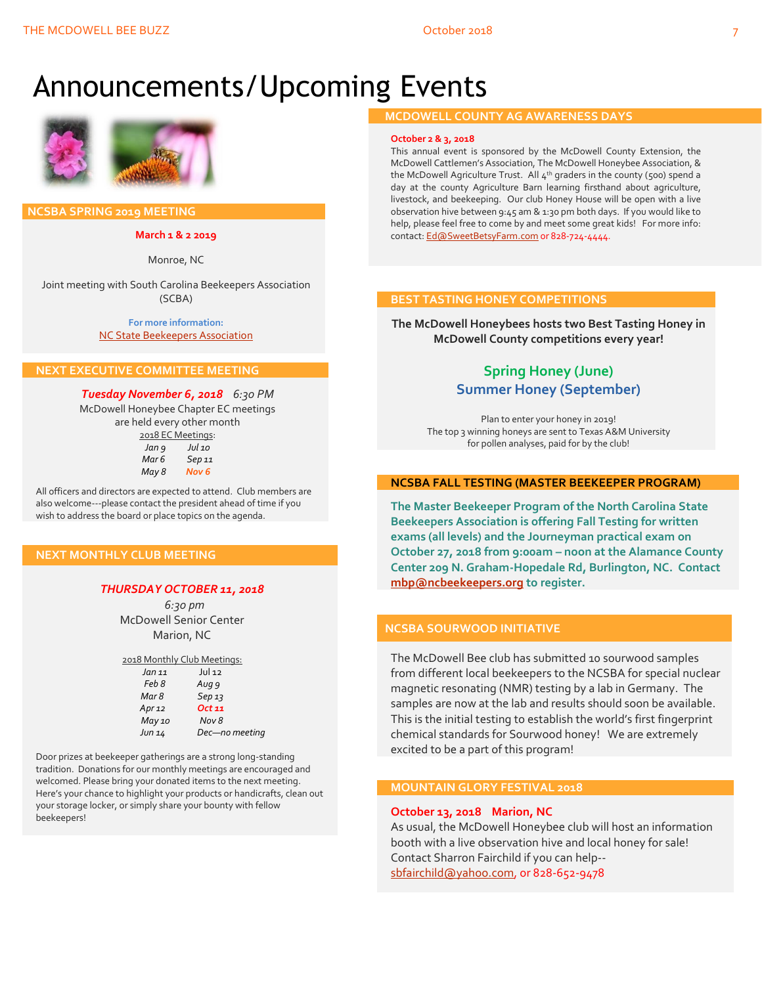## Announcements/Upcoming Events



 **NCSBA SPRING 2019 MEETING**

**March 1 & 2 2019**

Monroe, NC

Joint meeting with South Carolina Beekeepers Association (SCBA)

> **For more information:** [NC State Beekeepers Association](http://www.ncbeekeepers.org/)

#### **NEXT EXECUTIVE COMMITTEE MEETING**

*Tuesday November 6, 2018 6:30 PM* McDowell Honeybee Chapter EC meetings are held every other month 2018 EC Meetings: *Jan 9 Jul 10 Mar 6 Sep 11*

| Mar b | 9ep 11 |
|-------|--------|
| May 8 | Nov 6  |
|       |        |

All officers and directors are expected to attend. Club members are also welcome---please contact the president ahead of time if you wish to address the board or place topics on the agenda.

#### **NEXT MONTHLY CLUB MEETING**

#### *THURSDAY OCTOBER 11, 2018*

 *6:30 pm* McDowell Senior Center Marion, NC

| 2018 Monthly Club Meetings: |                |  |
|-----------------------------|----------------|--|
| Jan 11                      | $JU$ 12        |  |
| Feb 8                       | Aug 9          |  |
| Mar 8                       | Sep13          |  |
| Apr $12$                    | Oct 11         |  |
| May 10                      | Nov 8          |  |
| Jun 14                      | Dec-no meeting |  |

Door prizes at beekeeper gatherings are a strong long-standing tradition. Donations for our monthly meetings are encouraged and welcomed. Please bring your donated items to the next meeting. Here's your chance to highlight your products or handicrafts, clean out your storage locker, or simply share your bounty with fellow beekeepers!

#### **MCDOWELL COUNTY AG AWARENESS DAYS**

#### **October 2 & 3, 2018**

This annual event is sponsored by the McDowell County Extension, the McDowell Cattlemen's Association, The McDowell Honeybee Association, & the McDowell Agriculture Trust. All  $4<sup>th</sup>$  graders in the county (500) spend a day at the county Agriculture Barn learning firsthand about agriculture, livestock, and beekeeping. Our club Honey House will be open with a live observation hive between 9:45 am & 1:30 pm both days. If you would like to help, please feel free to come by and meet some great kids! For more info: contact[: Ed@SweetBetsyFarm.com](mailto:Ed@SweetBetsyFarm.com) or 828-724-4444.

#### **BEST TASTING HONEY COMPETITIONS**

**The McDowell Honeybees hosts two Best Tasting Honey in McDowell County competitions every year!**

#### **Spring Honey (June) Summer Honey (September)**

Plan to enter your honey in 2019! The top 3 winning honeys are sent to Texas A&M University for pollen analyses, paid for by the club!

#### **NCSBA FALL TESTING (MASTER BEEKEEPER PROGRAM)**

**The Master Beekeeper Program of the North Carolina State Beekeepers Association is offering Fall Testing for written exams (all levels) and the Journeyman practical exam on October 27, 2018 from 9:00am – noon at the Alamance County Center 209 N. Graham-Hopedale Rd, Burlington, NC. Contact [mbp@ncbeekeepers.org](mailto:mbp@ncbeekeepers.org) to register.**

#### **NCSBA SOURWOOD INITIATIVE**

The McDowell Bee club has submitted 10 sourwood samples from different local beekeepers to the NCSBA for special nuclear magnetic resonating (NMR) testing by a lab in Germany. The samples are now at the lab and results should soon be available. This is the initial testing to establish the world's first fingerprint chemical standards for Sourwood honey! We are extremely excited to be a part of this program!

#### **MOUNTAIN GLORY FESTIVAL 2018**

#### **October 13, 2018 Marion, NC**

As usual, the McDowell Honeybee club will host an information booth with a live observation hive and local honey for sale! Contact Sharron Fairchild if you can help- [sbfairchild@yahoo.com,](mailto:sbfairchild@yahoo.com) or 828-652-9478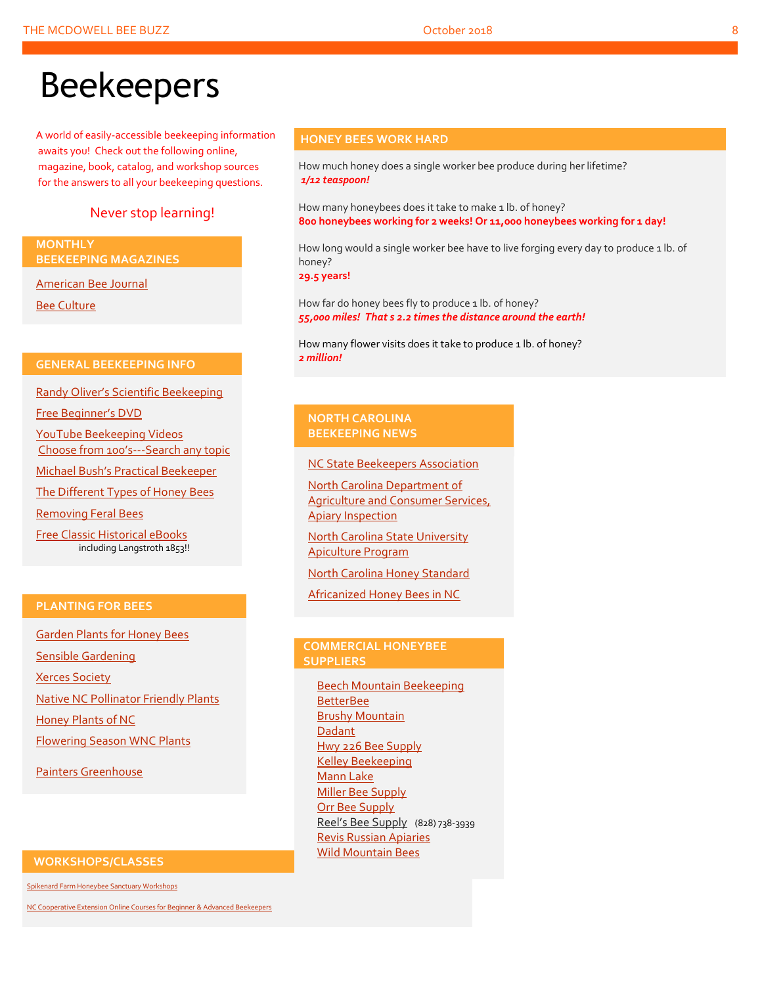## Beekeepers

A world of easily-accessible beekeeping information awaits you! Check out the following online, magazine, book, catalog, and workshop sources for the answers to all your beekeeping questions.

#### Never stop learning!

**MONTHLY BEEKEEPING MAGAZINES**

[American Bee Journal](http://www.americanbeejournal.com/)

[Bee Culture](http://www.beeculture.com/)

#### **GENERAL BEEKEEPING INFO**

Randy Oliver's [Scientific Beekeeping](http://scientificbeekeeping.com/)

[Free Beginner's DVD](http://www.worldofbeekeeping.com/free-kit/)

[YouTube Beekeeping Videos](https://www.youtube.com/results?search_query=beekeeping) Choose from 100's[---Search any topic](https://www.youtube.com/results?search_query=beekeeping)

[Michael Bush's Practical Beek](http://www.bushfarms.com/bees.htm)eeper

[The Different Types of Honey Bees](https://www.cals.ncsu.edu/entomology/apiculture/pdfs/1.12%20copy.pdf)

[Removing Feral Bees](http://www.ces.ncsu.edu/depts/ent/notes/Urban/bees-faq.htm)

[Free Classic Historical eBooks](http://www.apiculture-populaire.com/) including Langstroth 1853!!

#### **PLANTING FOR BEES**

[Garden Plants for Honey Bees](http://www.wicwas.com/Garden_Plants_for_Honey_Bees) [Sensible Gardening](http://sensiblegardening.com/busy-busy-bees/) [Xerces Society](http://www.xerces.org/pollinator-conservation/gardens/) [Native NC Pollinator Friendly Plants](http://wncbees.org/wp-content/uploads/2014/07/Recommended-Polliinator-Friendly-Plant-List-for-Greater-Asheville-NC-with-Nurseries.pdf) [Honey Plants of NC](http://wncbees.org/wp-content/uploads/2014/08/Honey-Plants-of-North-Carolina-NCSU-1.04.pdf)

[Flowering Season WNC Plants](http://wncbees.org/wp-content/uploads/2014/07/Typical-Flowering-Seasons-for-Western-North-Carolina-Honey-and-Pollen-Sources-Edd-Buchanan-John-Mundy-Chris-Mathis.pdf)

[Painters Greenhouse](http://www.paintersgreenhouse.com/)

#### **WORKSHOPS/CLASSES**

[Spikenard Farm Honeybee Sanctuary Workshops](http://spikenardfarm.org/)

[NC Cooperative Extension Online Courses for Beginner &](https://entomology.ces.ncsu.edu/apiculture/bees/) Advanced Beekeepers

#### **HONEY BEES WORK HARD**

How much honey does a single worker bee produce during her lifetime? *1/12 teaspoon!*

How many honeybees does it take to make 1 lb. of honey? **800 honeybees working for 2 weeks! Or 11,000 honeybees working for 1 day!**

How long would a single worker bee have to live forging every day to produce 1 lb. of honey?

**29.5 years!**

How far do honey bees fly to produce 1 lb. of honey? *55,000 miles! That s 2.2 times the distance around the earth!*

How many flower visits does it take to produce 1 lb. of honey? *2 million!*

#### **NORTH CAROLINA BEEKEEPING NEWS**

[NC State Beekeepers Association](http://www.ncbeekeepers.org/)

[North Carolina Department of](http://www.ncbeekeepers.org/resources/apiary-inspection-program)  [Agriculture and Consumer Services,](http://www.ncbeekeepers.org/resources/apiary-inspection-program)  [Apiary Inspection](http://www.ncbeekeepers.org/resources/apiary-inspection-program)

[North Carolina State University](http://entomology.ncsu.edu/apiculture)  [Apiculture Program](http://entomology.ncsu.edu/apiculture)

[North Carolina Honey Standard](http://www.ncbeekeepers.org/honey/nc-honey-standard)

[Africanized Honey Bees in NC](http://wncbees.org/wp-content/uploads/2014/08/AHBs-Some-questions-and-answers-NCSU-1.03.pdf)

#### **COMMERCIAL HONEYBEE SUPPLIERS**

[Beech Mountain Beekeeping](http://beechmountainbeesupply.com/store/cart.php) **[BetterBee](http://www.betterbee.com/)** [Brushy Mountain](http://www.brushymountainbeefarm.com/) [Dadant](https://www.dadant.com/) [Hwy 226 Bee Supply](http://hwy226beesupplies.com/) [Kelley Beekeeping](https://www.kelleybees.com/) [Mann Lake](http://www.mannlakeltd.com/) [Miller Bee Supply](http://millerbeesupply.com/catalog/) [Orr Bee Supply](http://www.orrbeesupply.com/) Reel's Bee Supply (828) 738-3939 Revis [Russian Apiaries](http://revisrussians.com/) [Wild Mountain Bees](http://www.wildmountainbees.com/)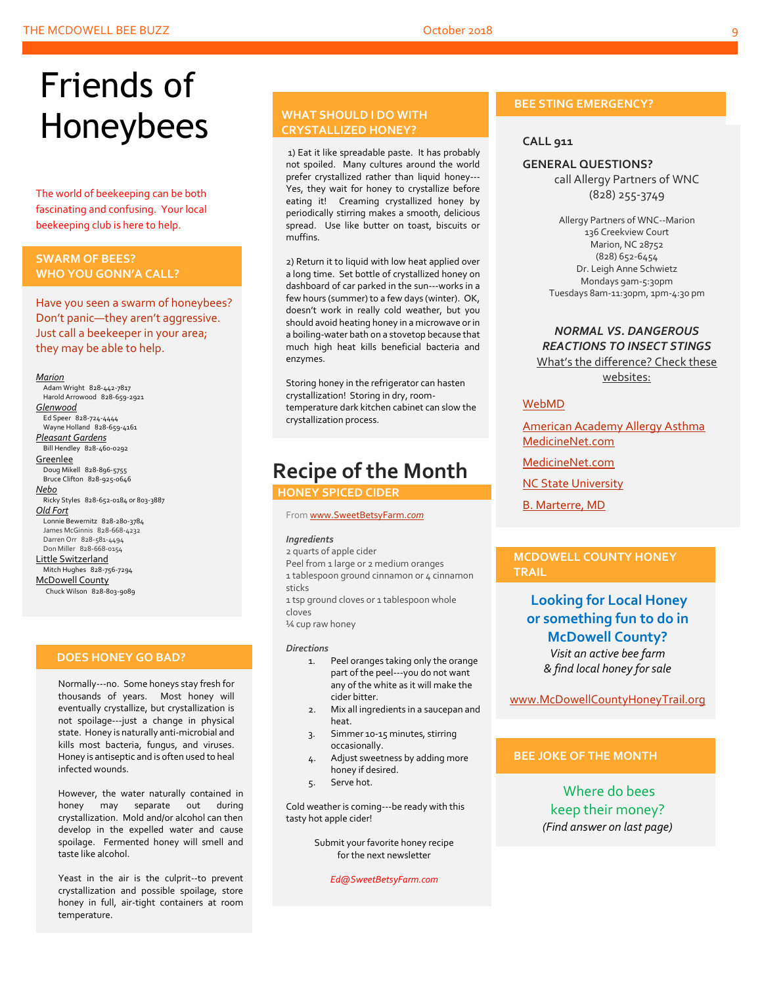## Friends of Honeybees

The world of beekeeping can be both fascinating and confusing. Your local beekeeping club is here to help.

#### <span id="page-8-0"></span>**SWARM OF BEES? WHO YOU GONN'A CALL?**

Have you seen a swarm of honeybees? Don't panic—they aren't aggressive. Just call a beekeeper in your area; they may be able to help.

#### *Marion*

 Adam Wright 828-442-7817 Harold Arrowood 828-659-2921 *Glenwood* Ed Speer 828-724-4444 Wayne Holland 828-659-4161 *Pleasant Gardens* Bill Hendley 828-460-0292 **Greenlee**  Doug Mikell 828-896-5755 Bruce Clifton 828-925-0646 *Nebo* Ricky Styles 828-652-0184 or 803-3887 *Old Fort* Lonnie Bewernitz 828-280-3784 James McGinnis 828-668-4232 Darren Orr 828-581-4494 Don Miller 828-668-0154 Little Switzerland Mitch Hughes 828-756-7294 McDowell County Chuck Wilson 828-803-9089

#### **DOES HONEY GO BAD?**

Normally---no. Some honeys stay fresh for thousands of years. Most honey will eventually crystallize, but crystallization is not spoilage---just a change in physical state. Honey is naturally anti-microbial and kills most bacteria, fungus, and viruses. Honey is antiseptic and is often used to heal infected wounds.

However, the water naturally contained in honey may separate out during crystallization. Mold and/or alcohol can then develop in the expelled water and cause spoilage. Fermented honey will smell and taste like alcohol.

Yeast in the air is the culprit--to prevent crystallization and possible spoilage, store honey in full, air-tight containers at room temperature.

#### **WHAT SHOULD I DO WITH CRYSTALLIZED HONEY?**

1) Eat it like spreadable paste. It has probably not spoiled. Many cultures around the world prefer crystallized rather than liquid honey--- Yes, they wait for honey to crystallize before eating it! Creaming crystallized honey by periodically stirring makes a smooth, delicious spread. Use like butter on toast, biscuits or muffins.

2) Return it to liquid with low heat applied over a long time. Set bottle of crystallized honey on dashboard of car parked in the sun---works in a few hours (summer) to a few days (winter). OK, doesn't work in really cold weather, but you should avoid heating honey in a microwave or in a boiling-water bath on a stovetop because that much high heat kills beneficial bacteria and enzymes.

Storing honey in the refrigerator can hasten crystallization! Storing in dry, roomtemperature dark kitchen cabinet can slow the crystallization process.

## **Recipe of the Month**

 **HONEY SPICED CIDER**

#### Fro[m www.SweetBetsyFarm.](http://www.sweetbetsyfarm.com/)*com*

#### *Ingredients*

2 quarts of apple cider Peel from 1 large or 2 medium oranges 1 tablespoon ground cinnamon or 4 cinnamon sticks

1 tsp ground cloves or 1 tablespoon whole cloves

¼ cup raw honey

#### *Directions*

- 1. Peel oranges taking only the orange part of the peel---you do not want any of the white as it will make the cider bitter.
- 2. Mix all ingredients in a saucepan and heat.
- 3. Simmer 10-15 minutes, stirring occasionally.
- 4. Adjust sweetness by adding more honey if desired.
- 5. Serve hot.

Cold weather is coming---be ready with this tasty hot apple cider!

> Submit your favorite honey recipe for the next newsletter

> > *Ed@SweetBetsyFarm.com*

#### **BEE STING EMERGENCY?**

#### **CALL 911**

#### **GENERAL QUESTIONS?**

call Allergy Partners of WNC (828) 255-3749

Allergy Partners of WNC--Marion 136 Creekview Court Marion, NC 28752 (828) 652-6454 Dr. Leigh Anne Schwietz Mondays 9am-5:30pm Tuesdays 8am-11:30pm, 1pm-4:30 pm

#### *NORMAL VS. DANGEROUS REACTIONS TO INSECT STINGS* What's the difference? Check these websites:

#### [WebMD](http://www.webmd.com/allergies/guide/insect-stings)

[American Academy Allergy Asthma](http://www.aaaai.org/conditions-and-treatments/library/allergy-library/stinging-insect-allergy.aspx) [MedicineNet.com](http://www.medicinenet.com/insect_sting_allergies/article.htm)

[MedicineNet.com](http://www.medicinenet.com/insect_sting_allergies/article.htm)

**[NC State University](http://wncbees.org/wp-content/uploads/2014/08/Allergy-to-Insect-Stings-NCSU-1.09.pdf)** 

[B. Marterre, MD](http://wncbees.org/wp-content/uploads/2014/08/Bee-Stings-Immunology-Allergy-and-Treatment-Marterre.pdf)

#### **MCDOWELL COUNTY HONEY TRAIL**

### **Looking for Local Honey or something fun to do in McDowell County?**

*Visit an active bee farm & find local honey for sale*

[www.McDowellCountyHoneyTrail.org](http://www.mcdowellcountyhoneytrail.org/)

#### **BEE JOKE OF THE MONTH**

Where do bees keep their money? *(Find answer on last page)*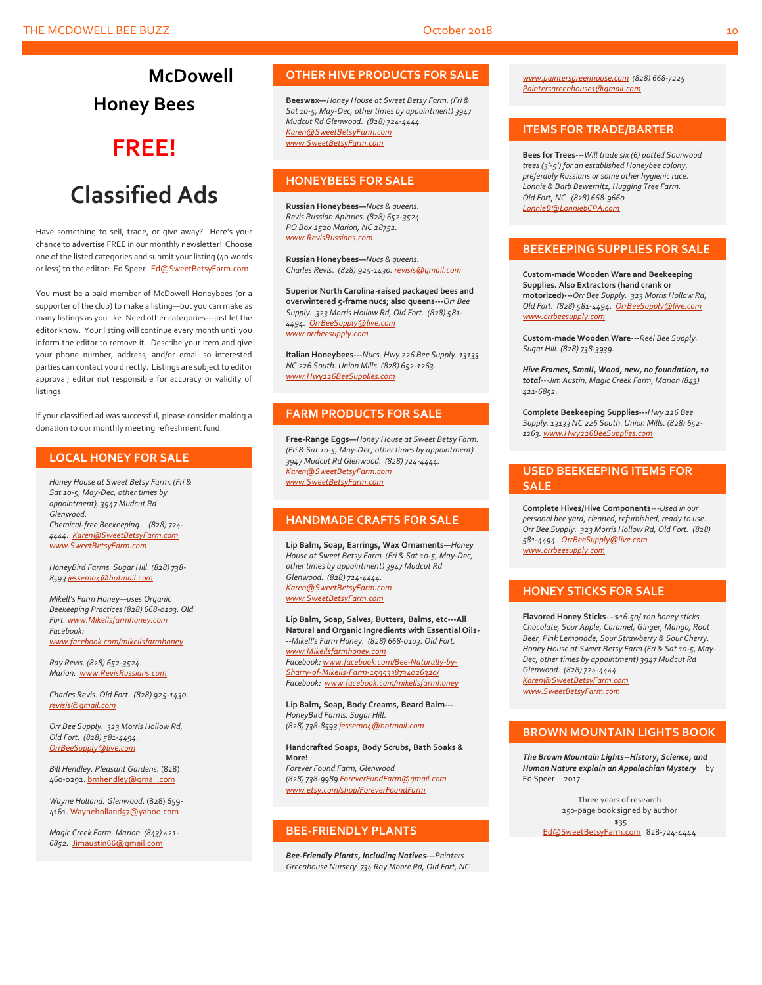**McDowell Honey Bees**

## **FREE!**

## **Classified Ads**

Have something to sell, trade, or give away? Here's your chance to advertise FREE in our monthly newsletter! Choose one of the listed categories and submit your listing (40 words or less) to the editor: Ed Speer [Ed@SweetBetsyFarm.com](mailto:Ed@SweetBetsyFarm.com)

You must be a paid member of McDowell Honeybees (or a supporter of the club) to make a listing—but you can make as many listings as you like. Need other categories---just let the editor know. Your listing will continue every month until you inform the editor to remove it. Describe your item and give your phone number, address, and/or email so interested parties can contact you directly. Listings are subject to editor approval; editor not responsible for accuracy or validity of listings.

If your classified ad was successful, please consider making a donation to our monthly meeting refreshment fund.

#### **LOCAL HONEY FOR SALE**

*Honey House at Sweet Betsy Farm. (Fri & Sat 10-5, May-Dec, other times by appointment), 3947 Mudcut Rd Glenwood. Chemical-free Beekeeping. (828) 724- 4444. [Karen@SweetBetsyFarm.com](mailto:Karen@SweetBetsyFarm.com) www.SweetBetsyFarm.com*

*HoneyBird Farms. Sugar Hill. (828) 738- 859[3 jessem04@hotmail.com](mailto:jessem04@hotmail.com)*

*Mikell's Farm Honey—uses Organic Beekeeping Practices (828) 668-0103. Old Fort[. www.Mikellsfarmhoney.com](http://www.mikellsfarmhoney.com/) Facebook: [www.facebook.com/mikellsfarmhoney](http://www.facebook.com/mikellsfarmhoney)*

*Ray Revis. (828) 652-3524. Marion. [www.RevisRussians.com](http://www.revisrussians.com/)*

*Charles Revis. Old Fort. (828) 925-1430. [revisjs@gmail.com](mailto:revisjs@gmail.com)*

*Orr Bee Supply. 323 Morris Hollow Rd, Old Fort. (828) 581-4494. [OrrBeeSupply@live.com](mailto:OrrBeeSupply@live.com)*

*Bill Hendley. Pleasant Gardens.* (828) 460-0292[. bmhendley@gmail.com](mailto:bmhendley@gmail.com)

*Wayne Holland. Glenwood.* (828) 659- 4161[. Wayneholland57@yahoo.com](mailto:Wayneholland57@yahoo.com)

*Magic Creek Farm. Marion. (843) 421- 6852.* [Jimaustin66@gmail.com](mailto:Jimaustin66@gmail.com)

#### **OTHER HIVE PRODUCTS FOR SALE**

**Beeswax—***Honey House at Sweet Betsy Farm. (Fri & Sat 10-5, May-Dec, other times by appointment) 3947 Mudcut Rd Glenwood. (828) 724-4444. [Karen@SweetBetsyFarm.com](mailto:Karen@SweetBetsyFarm.com) www.SweetBetsyFarm.com*

#### **HONEYBEES FOR SALE**

**Russian Honeybees—***Nucs & queens. Revis Russian Apiaries. (828) 652-3524. PO Box 2520 Marion, NC 28752. [www.RevisRussians.com](http://www.revisrussians.com/)*

**Russian Honeybees—***Nucs & queens. Charles Revis. (828) 925-1430. [revisjs@gmail.com](mailto:revisjs@gmail.com)*

**Superior North Carolina-raised packaged bees and overwintered 5-frame nucs; also queens---***Orr Bee Supply. 323 Morris Hollow Rd, Old Fort. (828) 581- 4494. [OrrBeeSupply@live.com](mailto:OrrBeeSupply@live.com) www.orrbeesupply.com*

**Italian Honeybees---***Nucs. Hwy 226 Bee Supply. 13133 NC 226 South. Union Mills. (828) 652-1263. [www.Hwy226BeeSupplies.com](http://www.hwy226beesupplies.com/)*

#### **FARM PRODUCTS FOR SALE**

**Free-Range Eggs—***Honey House at Sweet Betsy Farm. (Fri & Sat 10-5, May-Dec, other times by appointment) 3947 Mudcut Rd Glenwood. (828) 724-4444. [Karen@SweetBetsyFarm.com](mailto:Karen@SweetBetsyFarm.com) www.SweetBetsyFarm.com*

#### **HANDMADE CRAFTS FOR SALE**

**Lip Balm, Soap, Earrings, Wax Ornaments—***Honey House at Sweet Betsy Farm. (Fri & Sat 10-5, May-Dec, other times by appointment) 3947 Mudcut Rd Glenwood. (828) 724-4444. [Karen@SweetBetsyFarm.com](mailto:Karen@SweetBetsyFarm.com) [www.SweetBetsyFarm.com](http://www.sweetbetsyfarm.com/)*

**Lip Balm, Soap, Salves, Butters, Balms, etc---All Natural and Organic Ingredients with Essential Oils- --***Mikell's Farm Honey. (828) 668-0103. Old Fort. [www.Mikellsfarmhoney.com](http://www.mikellsfarmhoney.com/) Facebook[: www.facebook.com/Bee-Naturally-by-](http://www.facebook.com/Bee-Naturally-by-Sharry-of-Mikells-Farm-1595338734026320/)[Sharry-of-Mikells-Farm-1595338734026320/](http://www.facebook.com/Bee-Naturally-by-Sharry-of-Mikells-Farm-1595338734026320/) Facebook: [www.facebook.com/mikellsfarmhoney](http://www.facebook.com/mikellsfarmhoney)*

**Lip Balm, Soap, Body Creams, Beard Balm---** *HoneyBird Farms. Sugar Hill. (828) 738-859[3 jessem04@hotmail.com](mailto:jessem04@hotmail.com)*

**Handcrafted Soaps, Body Scrubs, Bath Soaks & More!**

*Forever Found Farm, Glenwood (828) 738-9989 [ForeverFundFarm@gmail.com](mailto:ForeverFundFarm@gmail.com) [www.etsy.com/shop/ForeverFoundFarm](http://www.etsy.com/shop/ForeverFoundFarm)*

#### **BEE-FRIENDLY PLANTS**

*Bee-Friendly Plants, Including Natives---Painters Greenhouse Nursery 734 Roy Moore Rd, Old Fort, NC* 

*[www.paintersgreenhouse.com](http://www.paintersgreenhouse.com/) (828) 668-7225 [Paintersgreenhouse1@gmail.com](mailto:Paintersgreenhouse1@gmail.com)*

#### **ITEMS FOR TRADE/BARTER**

**Bees for Trees---***Will trade six (6) potted Sourwood trees (3'-5') for an established Honeybee colony, preferably Russians or some other hygienic race. Lonnie & Barb Bewernitz, Hugging Tree Farm. Old Fort, NC (828) 668-9660 [LonnieB@LonniebCPA.com](mailto:LonnieB@LonniebCPA.com)*

#### **BEEKEEPING SUPPLIES FOR SALE**

**Custom-made Wooden Ware and Beekeeping Supplies. Also Extractors (hand crank or motorized)---***Orr Bee Supply. 323 Morris Hollow Rd, Old Fort. (828) 581-4494. [OrrBeeSupply@live.com](mailto:OrrBeeSupply@live.com) [www.orrbeesupply.com](file:///K:/McDowell%20Honeybees/2016/2016%20Newsletters/May%202016%20Newsletter/www.orrbeesupply.com)*

**Custom-made Wooden Ware---***Reel Bee Supply. Sugar Hill. (828) 738-3939.*

*Hive Frames, Small, Wood, new, no foundation, 10 total---Jim Austin, Magic Creek Farm, Marion (843) 421-6852.*

**Complete Beekeeping Supplies---***Hwy 226 Bee Supply. 13133 NC 226 South. Union Mills. (828) 652- 1263[. www.Hwy226BeeSupplies.com](http://www.hwy226beesupplies.com/)*

#### **USED BEEKEEPING ITEMS FOR SALE**

**Complete Hives/Hive Components**---*Used in our personal bee yard, cleaned, refurbished, ready to use. Orr Bee Supply. 323 Morris Hollow Rd, Old Fort. (828) 581-4494. [OrrBeeSupply@live.com](mailto:OrrBeeSupply@live.com) [www.orrbeesupply.com](file:///K:/McDowell%20Honeybees/2016/2016%20Newsletters/May%202016%20Newsletter/www.orrbeesupply.com)*

#### **HONEY STICKS FOR SALE**

**Flavored Honey Sticks**---\$*16.50/ 100 honey sticks. Chocolate, Sour Apple, Caramel, Ginger, Mango, Root Beer, Pink Lemonade, Sour Strawberry & Sour Cherry. Honey House at Sweet Betsy Farm (Fri & Sat 10-5, May-Dec, other times by appointment) 3947 Mudcut Rd Glenwood. (828) 724-4444. [Karen@SweetBetsyFarm.com](mailto:Karen@SweetBetsyFarm.com) www.SweetBetsyFarm.com*

**BROWN MOUNTAIN LIGHTS BOOK**

*The Brown Mountain Lights--History, Science, and Human Nature explain an Appalachian Mystery* by Ed Speer 2017

Three years of research 250-page book signed by author \$35 [Ed@SweetBetsyFarm.com](mailto:Ed@SweetBetsyFarm.com) 828-724-4444